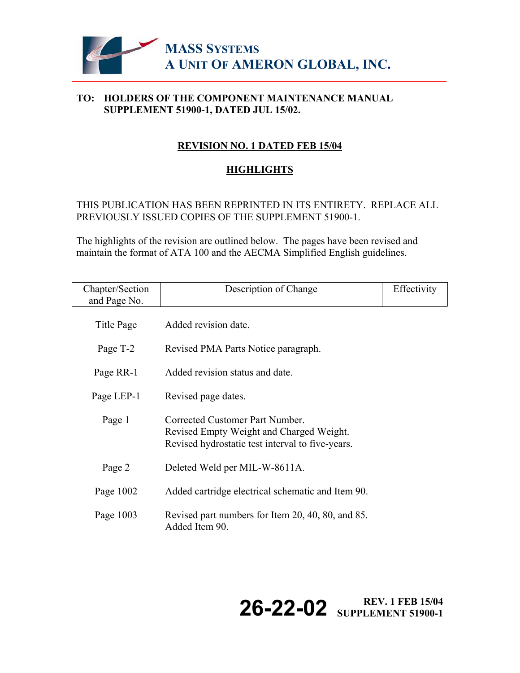

#### **TO: HOLDERS OF THE COMPONENT MAINTENANCE MANUAL SUPPLEMENT 51900-1, DATED JUL 15/02.**

#### **REVISION NO. 1 DATED FEB 15/04**

#### **HIGHLIGHTS**

#### THIS PUBLICATION HAS BEEN REPRINTED IN ITS ENTIRETY. REPLACE ALL PREVIOUSLY ISSUED COPIES OF THE SUPPLEMENT 51900-1.

The highlights of the revision are outlined below. The pages have been revised and maintain the format of ATA 100 and the AECMA Simplified English guidelines.

| Chapter/Section | Description of Change                                                                                                           | Effectivity |
|-----------------|---------------------------------------------------------------------------------------------------------------------------------|-------------|
| and Page No.    |                                                                                                                                 |             |
| Title Page      | Added revision date.                                                                                                            |             |
| Page T-2        | Revised PMA Parts Notice paragraph.                                                                                             |             |
| Page RR-1       | Added revision status and date.                                                                                                 |             |
| Page LEP-1      | Revised page dates.                                                                                                             |             |
| Page 1          | Corrected Customer Part Number.<br>Revised Empty Weight and Charged Weight.<br>Revised hydrostatic test interval to five-years. |             |
| Page 2          | Deleted Weld per MIL-W-8611A.                                                                                                   |             |
| Page 1002       | Added cartridge electrical schematic and Item 90.                                                                               |             |
| Page 1003       | Revised part numbers for Item 20, 40, 80, and 85.<br>Added Item 90.                                                             |             |

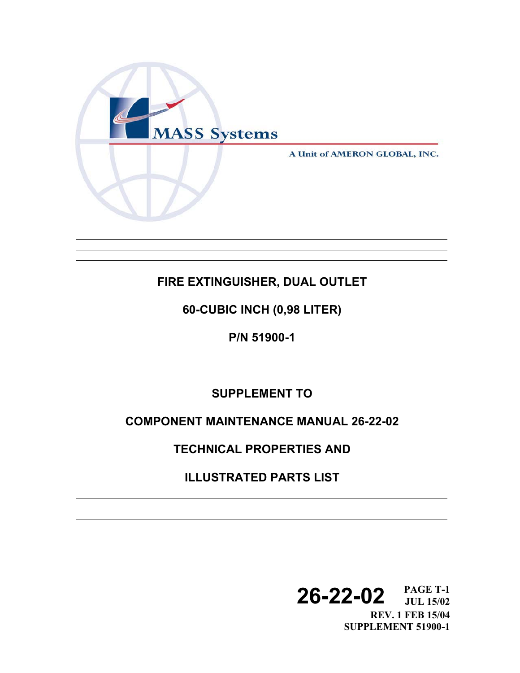

A Unit of AMERON GLOBAL, INC.

#### **FIRE EXTINGUISHER, DUAL OUTLET**

**60-CUBIC INCH (0,98 LITER)** 

**P/N 51900-1** 

**SUPPLEMENT TO** 

#### **COMPONENT MAINTENANCE MANUAL 26-22-02**

## **TECHNICAL PROPERTIES AND**

## **ILLUSTRATED PARTS LIST**

**26-22-02 PAGE T-1 JUL 15/02 REV. 1 FEB 15/04 SUPPLEMENT 51900-1**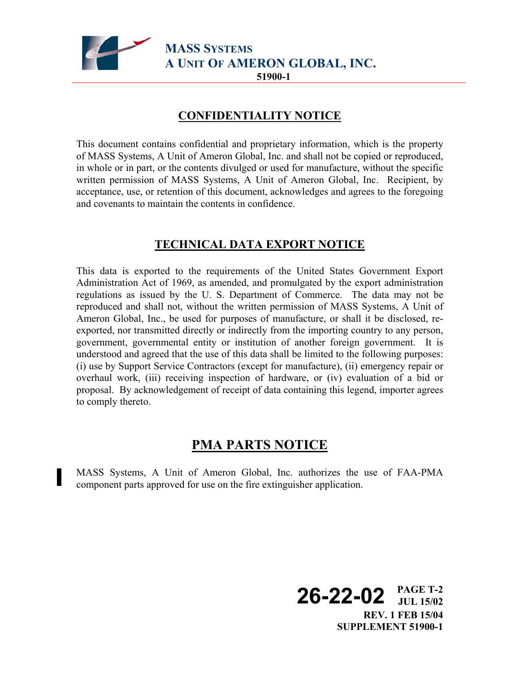

#### **CONFIDENTIALITY NOTICE**

This document contains confidential and proprietary information, which is the property of MASS Systems, A Unit of Ameron Global, Inc. and shall not be copied or reproduced, in whole or in part, or the contents divulged or used for manufacture, without the specific written permission of MASS Systems, A Unit of Ameron Global, Inc. Recipient, by acceptance, use, or retention of this document, acknowledges and agrees to the foregoing and covenants to maintain the contents in confidence.

#### **TECHNICAL DATA EXPORT NOTICE**

This data is exported to the requirements of the United States Government Export Administration Act of 1969, as amended, and promulgated by the export administration regulations as issued by the U. S. Department of Commerce. The data may not be reproduced and shall not, without the written permission of MASS Systems, A Unit of Ameron Global, Inc., be used for purposes of manufacture, or shall it be disclosed, reexported, nor transmitted directly or indirectly from the importing country to any person, government, governmental entity or institution of another foreign government. It is understood and agreed that the use of this data shall be limited to the following purposes: (i) use by Support Service Contractors (except for manufacture), (ii) emergency repair or overhaul work, (iii) receiving inspection of hardware, or (iv) evaluation of a bid or proposal. By acknowledgement of receipt of data containing this legend, importer agrees to comply thereto.

## **PMA PARTS NOTICE**

MASS Systems, A Unit of Ameron Global, Inc. authorizes the use of FAA-PMA component parts approved for use on the fire extinguisher application.

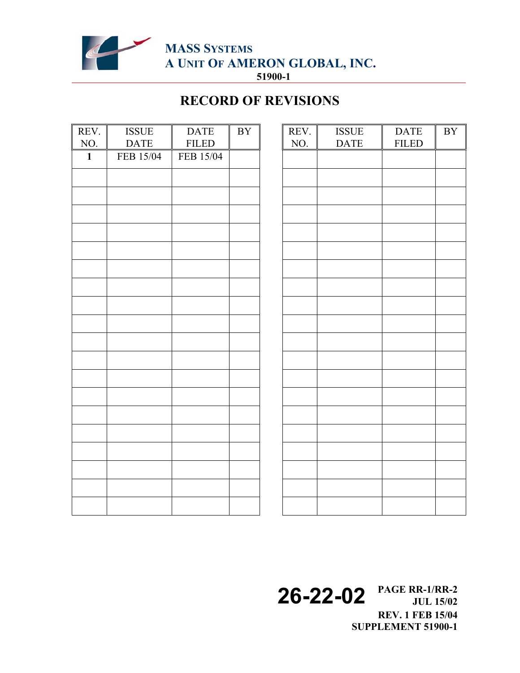

## **RECORD OF REVISIONS**

| REV.         | $\operatorname{ISSUE}$ | <b>DATE</b>   | $\rm BY$ | REV. | $\operatorname{ISSUE}$ | <b>DATE</b>   | <b>BY</b> |
|--------------|------------------------|---------------|----------|------|------------------------|---------------|-----------|
| NO.          | $\mathbf{DATE}$        | ${\sf FILED}$ |          | NO.  | <b>DATE</b>            | ${\sf FILED}$ |           |
| $\mathbf{1}$ | FEB 15/04              | FEB 15/04     |          |      |                        |               |           |
|              |                        |               |          |      |                        |               |           |
|              |                        |               |          |      |                        |               |           |
|              |                        |               |          |      |                        |               |           |
|              |                        |               |          |      |                        |               |           |
|              |                        |               |          |      |                        |               |           |
|              |                        |               |          |      |                        |               |           |
|              |                        |               |          |      |                        |               |           |
|              |                        |               |          |      |                        |               |           |
|              |                        |               |          |      |                        |               |           |
|              |                        |               |          |      |                        |               |           |
|              |                        |               |          |      |                        |               |           |
|              |                        |               |          |      |                        |               |           |
|              |                        |               |          |      |                        |               |           |
|              |                        |               |          |      |                        |               |           |
|              |                        |               |          |      |                        |               |           |
|              |                        |               |          |      |                        |               |           |
|              |                        |               |          |      |                        |               |           |
|              |                        |               |          |      |                        |               |           |
|              |                        |               |          |      |                        |               |           |

**26-22-02 PAGE RR-1/RR-2 JUL 15/02 REV. 1 FEB 15/04 SUPPLEMENT 51900-1**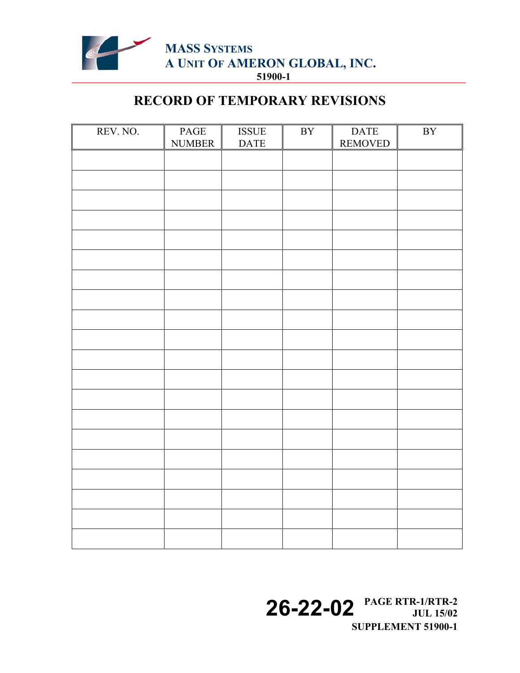

#### **RECORD OF TEMPORARY REVISIONS**

| REV. NO. | $\overline{\mathsf{PAGE}}$ | <b>ISSUE</b> | $\overline{\rm BY}$ | <b>DATE</b>    | $\overline{\rm BY}$ |
|----------|----------------------------|--------------|---------------------|----------------|---------------------|
|          | <b>NUMBER</b>              | <b>DATE</b>  |                     | <b>REMOVED</b> |                     |
|          |                            |              |                     |                |                     |
|          |                            |              |                     |                |                     |
|          |                            |              |                     |                |                     |
|          |                            |              |                     |                |                     |
|          |                            |              |                     |                |                     |
|          |                            |              |                     |                |                     |
|          |                            |              |                     |                |                     |
|          |                            |              |                     |                |                     |
|          |                            |              |                     |                |                     |
|          |                            |              |                     |                |                     |
|          |                            |              |                     |                |                     |
|          |                            |              |                     |                |                     |
|          |                            |              |                     |                |                     |
|          |                            |              |                     |                |                     |
|          |                            |              |                     |                |                     |
|          |                            |              |                     |                |                     |
|          |                            |              |                     |                |                     |
|          |                            |              |                     |                |                     |
|          |                            |              |                     |                |                     |
|          |                            |              |                     |                |                     |

**26-22-02 PAGE RTR-1/RTR-2 JUL 15/02 SUPPLEMENT 51900-1**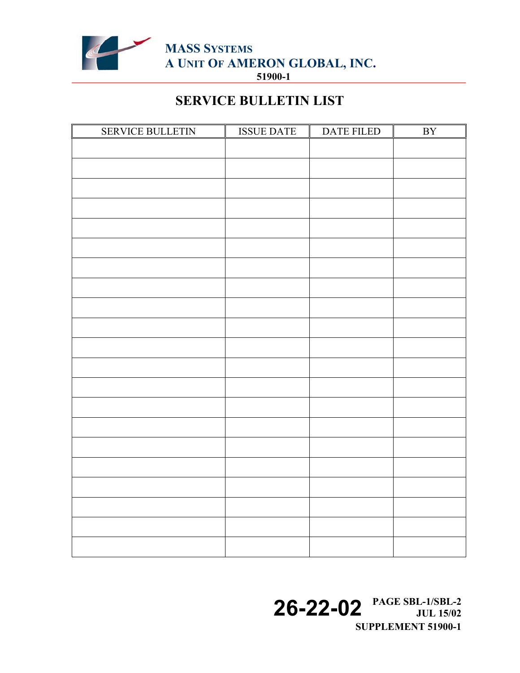

**51900-1**

# **SERVICE BULLETIN LIST**

| SERVICE BULLETIN | ISSUE DATE | DATE FILED | $\overline{\rm BY}$ |
|------------------|------------|------------|---------------------|
|                  |            |            |                     |
|                  |            |            |                     |
|                  |            |            |                     |
|                  |            |            |                     |
|                  |            |            |                     |
|                  |            |            |                     |
|                  |            |            |                     |
|                  |            |            |                     |
|                  |            |            |                     |
|                  |            |            |                     |
|                  |            |            |                     |
|                  |            |            |                     |
|                  |            |            |                     |
|                  |            |            |                     |
|                  |            |            |                     |
|                  |            |            |                     |
|                  |            |            |                     |
|                  |            |            |                     |
|                  |            |            |                     |
|                  |            |            |                     |
|                  |            |            |                     |
|                  |            |            |                     |
|                  |            |            |                     |
|                  |            |            |                     |

**26-22-02 PAGE SBL-1/SBL-2 JUL 15/02 SUPPLEMENT 51900-1**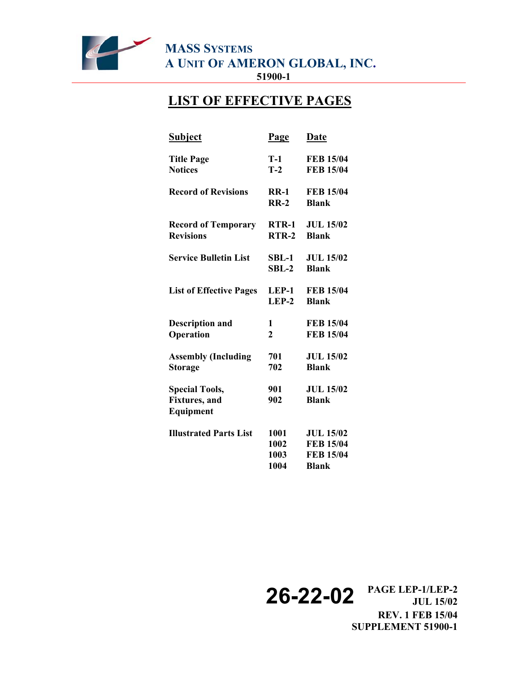

**MASS SYSTEMS A UNIT OF AMERON GLOBAL, INC.**

**51900-1**

# **LIST OF EFFECTIVE PAGES**

| <b>Subject</b>                                              | Page                         | <u>Date</u>                                                              |
|-------------------------------------------------------------|------------------------------|--------------------------------------------------------------------------|
| <b>Title Page</b><br><b>Notices</b>                         | $T-1$<br>$T-2$               | <b>FEB 15/04</b><br><b>FEB 15/04</b>                                     |
| <b>Record of Revisions</b>                                  | $RR-1$<br>$RR-2$             | <b>FEB 15/04</b><br><b>Blank</b>                                         |
| <b>Record of Temporary</b><br><b>Revisions</b>              | RTR-1<br>$RTR-2$             | <b>JUL 15/02</b><br><b>Blank</b>                                         |
| <b>Service Bulletin List</b>                                | SBL-1<br>$SBL-2$             | <b>JUL 15/02</b><br><b>Blank</b>                                         |
| <b>List of Effective Pages</b>                              | $LEP-1$<br>$LEP-2$           | <b>FEB 15/04</b><br><b>Blank</b>                                         |
| <b>Description and</b><br>Operation                         | 1<br>2                       | <b>FEB 15/04</b><br><b>FEB 15/04</b>                                     |
| <b>Assembly (Including</b><br><b>Storage</b>                | 701<br>702                   | <b>JUL 15/02</b><br><b>Blank</b>                                         |
| <b>Special Tools,</b><br><b>Fixtures</b> , and<br>Equipment | 901<br>902                   | <b>JUL 15/02</b><br><b>Blank</b>                                         |
| <b>Illustrated Parts List</b>                               | 1001<br>1002<br>1003<br>1004 | <b>JUL 15/02</b><br><b>FEB 15/04</b><br><b>FEB 15/04</b><br><b>Blank</b> |

**26-22-02 PAGE LEP-1/LEP-2 JUL 15/02**

**REV. 1 FEB 15/04 SUPPLEMENT 51900-1**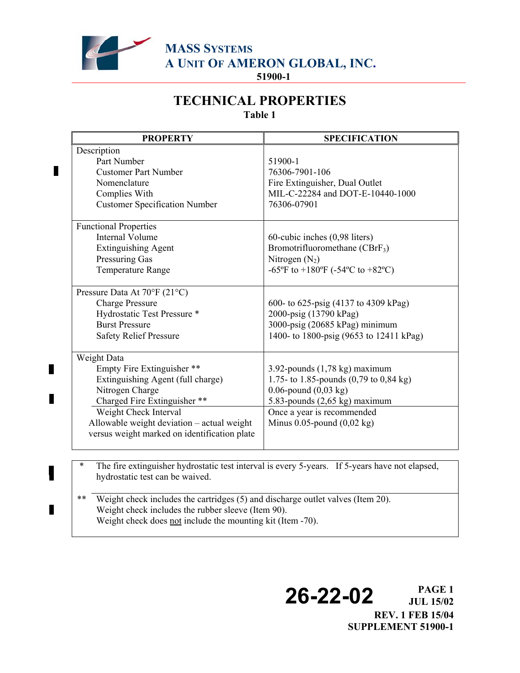

 $\blacksquare$ 

 $\blacksquare$ 

П

 $\blacksquare$ 

 $\blacksquare$ 

**51900-1**

## **TECHNICAL PROPERTIES**

**Table 1** 

| <b>PROPERTY</b>                              | <b>SPECIFICATION</b>                                      |
|----------------------------------------------|-----------------------------------------------------------|
| Description                                  |                                                           |
| Part Number                                  | 51900-1                                                   |
| <b>Customer Part Number</b>                  | 76306-7901-106                                            |
| Nomenclature                                 | Fire Extinguisher, Dual Outlet                            |
| Complies With                                | MIL-C-22284 and DOT-E-10440-1000                          |
| <b>Customer Specification Number</b>         | 76306-07901                                               |
| <b>Functional Properties</b>                 |                                                           |
| <b>Internal Volume</b>                       | 60-cubic inches (0,98 liters)                             |
| <b>Extinguishing Agent</b>                   | Bromotrifluoromethane $(CBrF_3)$                          |
| Pressuring Gas                               | Nitrogen $(N_2)$                                          |
| Temperature Range                            | -65°F to +180°F (-54°C to +82°C)                          |
| Pressure Data At 70°F (21°C)                 |                                                           |
| <b>Charge Pressure</b>                       | 600- to 625-psig (4137 to 4309 kPag)                      |
| Hydrostatic Test Pressure *                  | 2000-psig (13790 kPag)                                    |
| <b>Burst Pressure</b>                        | 3000-psig (20685 kPag) minimum                            |
| <b>Safety Relief Pressure</b>                | 1400- to 1800-psig (9653 to 12411 kPag)                   |
| Weight Data                                  |                                                           |
| Empty Fire Extinguisher **                   | 3.92-pounds $(1,78 \text{ kg})$ maximum                   |
| Extinguishing Agent (full charge)            | 1.75- to 1.85-pounds $(0,79 \text{ to } 0,84 \text{ kg})$ |
| Nitrogen Charge                              | 0.06-pound $(0,03 \text{ kg})$                            |
| Charged Fire Extinguisher **                 | 5.83-pounds (2,65 kg) maximum                             |
| Weight Check Interval                        | Once a year is recommended                                |
| Allowable weight deviation - actual weight   | Minus $0.05$ -pound $(0.02 \text{ kg})$                   |
| versus weight marked on identification plate |                                                           |
|                                              |                                                           |

The fire extinguisher hydrostatic test interval is every 5-years. If 5-years have not elapsed, hydrostatic test can be waived.

\*\* Weight check includes the cartridges (5) and discharge outlet valves (Item 20). Weight check includes the rubber sleeve (Item 90). Weight check does not include the mounting kit (Item -70).

> **26-22-02 PAGE 1 JUL 15/02 REV. 1 FEB 15/04 SUPPLEMENT 51900-1**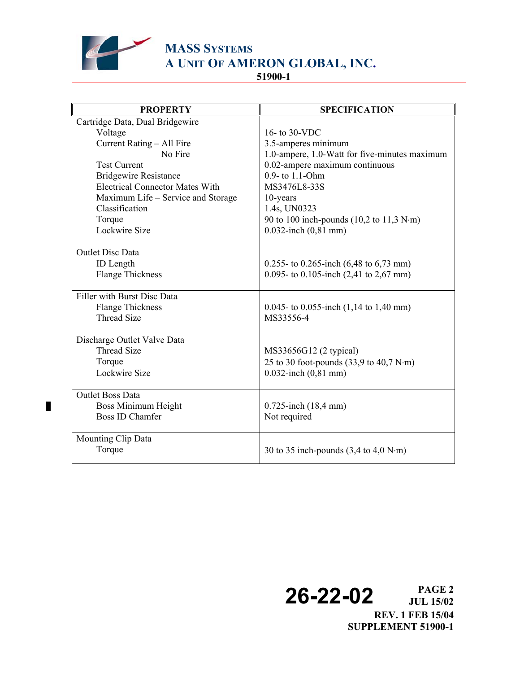

 $\begin{array}{c} \hline \end{array}$ 

## **MASS SYSTEMS A UNIT OF AMERON GLOBAL, INC.**

**51900-1**

| <b>PROPERTY</b>                        | <b>SPECIFICATION</b>                                                   |
|----------------------------------------|------------------------------------------------------------------------|
| Cartridge Data, Dual Bridgewire        |                                                                        |
| Voltage                                | 16- to 30-VDC                                                          |
| Current Rating - All Fire              | 3.5-amperes minimum                                                    |
| No Fire                                | 1.0-ampere, 1.0-Watt for five-minutes maximum                          |
| <b>Test Current</b>                    | 0.02-ampere maximum continuous                                         |
| <b>Bridgewire Resistance</b>           | 0.9- to 1.1-Ohm                                                        |
| <b>Electrical Connector Mates With</b> | MS3476L8-33S                                                           |
| Maximum Life - Service and Storage     | 10-years                                                               |
| Classification                         | 1.4s, UN0323                                                           |
| Torque                                 | 90 to 100 inch-pounds $(10,2 \text{ to } 11,3 \text{ N}\cdot\text{m})$ |
| Lockwire Size                          | $0.032$ -inch $(0.81$ mm)                                              |
|                                        |                                                                        |
| <b>Outlet Disc Data</b>                |                                                                        |
| ID Length                              | 0.255- to 0.265-inch $(6,48 \text{ to } 6,73 \text{ mm})$              |
| <b>Flange Thickness</b>                | 0.095- to 0.105-inch $(2,41$ to 2,67 mm)                               |
|                                        |                                                                        |
| Filler with Burst Disc Data            |                                                                        |
| <b>Flange Thickness</b>                | 0.045- to 0.055-inch $(1,14$ to 1,40 mm)                               |
| <b>Thread Size</b>                     | MS33556-4                                                              |
| Discharge Outlet Valve Data            |                                                                        |
| <b>Thread Size</b>                     |                                                                        |
| Torque                                 | MS33656G12 (2 typical)                                                 |
| Lockwire Size                          | 25 to 30 foot-pounds (33,9 to 40,7 N·m)                                |
|                                        | $0.032$ -inch $(0.81$ mm)                                              |
| <b>Outlet Boss Data</b>                |                                                                        |
| <b>Boss Minimum Height</b>             | $0.725$ -inch $(18,4 \text{ mm})$                                      |
| <b>Boss ID Chamfer</b>                 | Not required                                                           |
|                                        |                                                                        |
| Mounting Clip Data                     |                                                                        |
| Torque                                 | 30 to 35 inch-pounds $(3,4 \text{ to } 4,0 \text{ N}\cdot\text{m})$    |
|                                        |                                                                        |

**26-22-02 PAGE 2 JUL 15/02 REV. 1 FEB 15/04 SUPPLEMENT 51900-1**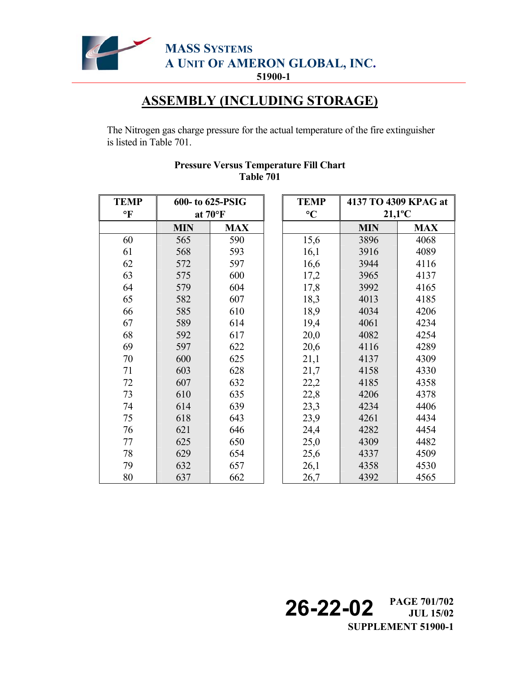

## **ASSEMBLY (INCLUDING STORAGE)**

The Nitrogen gas charge pressure for the actual temperature of the fire extinguisher is listed in Table 701.

| <b>TEMP</b><br>$\mathbf{P}$ | 600- to 625-PSIG<br>at $70^{\circ}$ F |            | <b>TEMP</b><br>$\rm ^{\circ}C$ |            | 4137 TO 4309 KPAG at<br>$21,1$ <sup>o</sup> C |
|-----------------------------|---------------------------------------|------------|--------------------------------|------------|-----------------------------------------------|
|                             | <b>MIN</b>                            | <b>MAX</b> |                                | <b>MIN</b> | <b>MAX</b>                                    |
| 60                          | 565                                   | 590        | 15,6                           | 3896       | 4068                                          |
| 61                          | 568                                   | 593        | 16,1                           | 3916       | 4089                                          |
| 62                          | 572                                   | 597        | 16,6                           | 3944       | 4116                                          |
| 63                          | 575                                   | 600        | 17,2                           | 3965       | 4137                                          |
| 64                          | 579                                   | 604        | 17,8                           | 3992       | 4165                                          |
| 65                          | 582                                   | 607        | 18,3                           | 4013       | 4185                                          |
| 66                          | 585                                   | 610        | 18,9                           | 4034       | 4206                                          |
| 67                          | 589                                   | 614        | 19,4                           | 4061       | 4234                                          |
| 68                          | 592                                   | 617        | 20,0                           | 4082       | 4254                                          |
| 69                          | 597                                   | 622        | 20,6                           | 4116       | 4289                                          |
| 70                          | 600                                   | 625        | 21,1                           | 4137       | 4309                                          |
| 71                          | 603                                   | 628        | 21,7                           | 4158       | 4330                                          |
| 72                          | 607                                   | 632        | 22,2                           | 4185       | 4358                                          |
| 73                          | 610                                   | 635        | 22,8                           | 4206       | 4378                                          |
| 74                          | 614                                   | 639        | 23,3                           | 4234       | 4406                                          |
| 75                          | 618                                   | 643        | 23,9                           | 4261       | 4434                                          |
| 76                          | 621                                   | 646        | 24,4                           | 4282       | 4454                                          |
| 77                          | 625                                   | 650        | 25,0                           | 4309       | 4482                                          |
| 78                          | 629                                   | 654        | 25,6                           | 4337       | 4509                                          |
| 79                          | 632                                   | 657        | 26,1                           | 4358       | 4530                                          |
| 80                          | 637                                   | 662        | 26,7                           | 4392       | 4565                                          |

#### **Pressure Versus Temperature Fill Chart Table 701**

**26-22-02 PAGE 701/702 JUL 15/02 SUPPLEMENT 51900-1**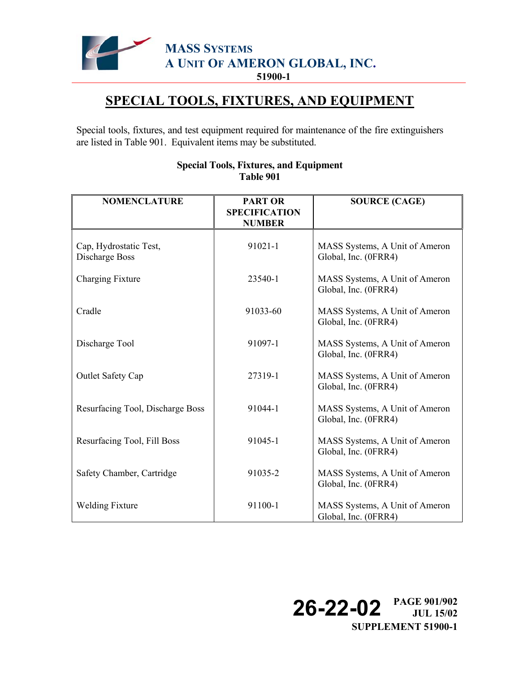

### **SPECIAL TOOLS, FIXTURES, AND EQUIPMENT**

Special tools, fixtures, and test equipment required for maintenance of the fire extinguishers are listed in Table 901. Equivalent items may be substituted.

| <b>NOMENCLATURE</b>                             | <b>PART OR</b><br><b>SPECIFICATION</b><br><b>NUMBER</b> | <b>SOURCE (CAGE)</b>                                   |
|-------------------------------------------------|---------------------------------------------------------|--------------------------------------------------------|
|                                                 |                                                         |                                                        |
| Cap, Hydrostatic Test,<br><b>Discharge Boss</b> | 91021-1                                                 | MASS Systems, A Unit of Ameron<br>Global, Inc. (0FRR4) |
| Charging Fixture                                | 23540-1                                                 | MASS Systems, A Unit of Ameron<br>Global, Inc. (0FRR4) |
| Cradle                                          | 91033-60                                                | MASS Systems, A Unit of Ameron<br>Global, Inc. (0FRR4) |
| Discharge Tool                                  | 91097-1                                                 | MASS Systems, A Unit of Ameron<br>Global, Inc. (0FRR4) |
| <b>Outlet Safety Cap</b>                        | 27319-1                                                 | MASS Systems, A Unit of Ameron<br>Global, Inc. (0FRR4) |
| Resurfacing Tool, Discharge Boss                | 91044-1                                                 | MASS Systems, A Unit of Ameron<br>Global, Inc. (0FRR4) |
| Resurfacing Tool, Fill Boss                     | 91045-1                                                 | MASS Systems, A Unit of Ameron<br>Global, Inc. (0FRR4) |
| Safety Chamber, Cartridge                       | 91035-2                                                 | MASS Systems, A Unit of Ameron<br>Global, Inc. (0FRR4) |
| <b>Welding Fixture</b>                          | 91100-1                                                 | MASS Systems, A Unit of Ameron<br>Global, Inc. (0FRR4) |

#### **Special Tools, Fixtures, and Equipment Table 901**

**26-22-02 PAGE 901/902 JUL 15/02 SUPPLEMENT 51900-1**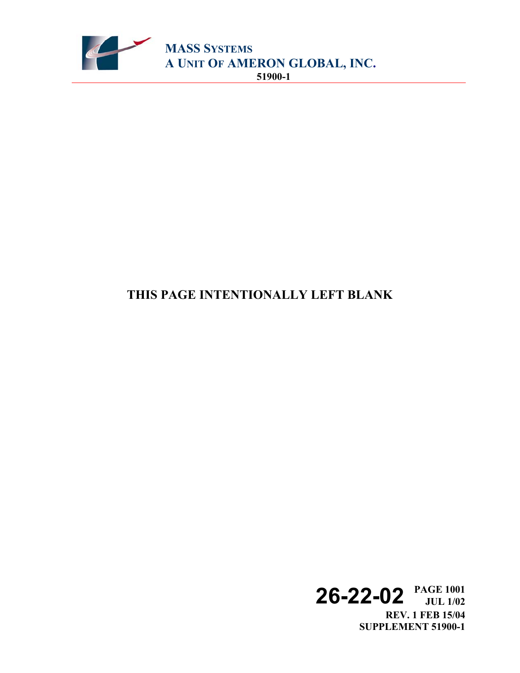

## **THIS PAGE INTENTIONALLY LEFT BLANK**

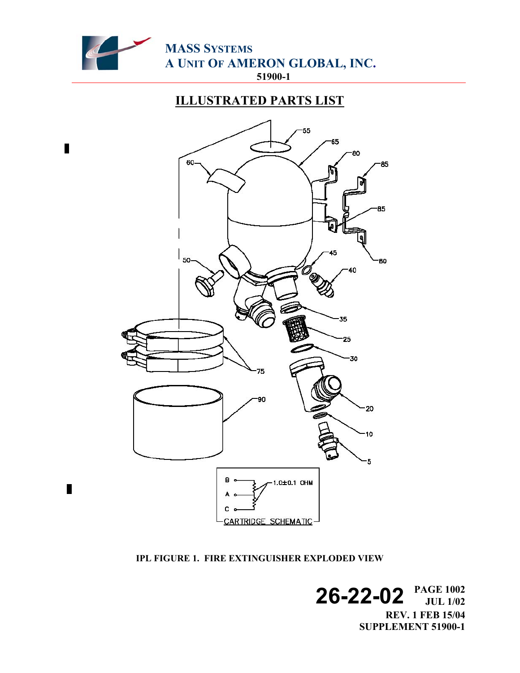

 $\blacksquare$ 

П

**ILLUSTRATED PARTS LIST**



**IPL FIGURE 1. FIRE EXTINGUISHER EXPLODED VIEW**